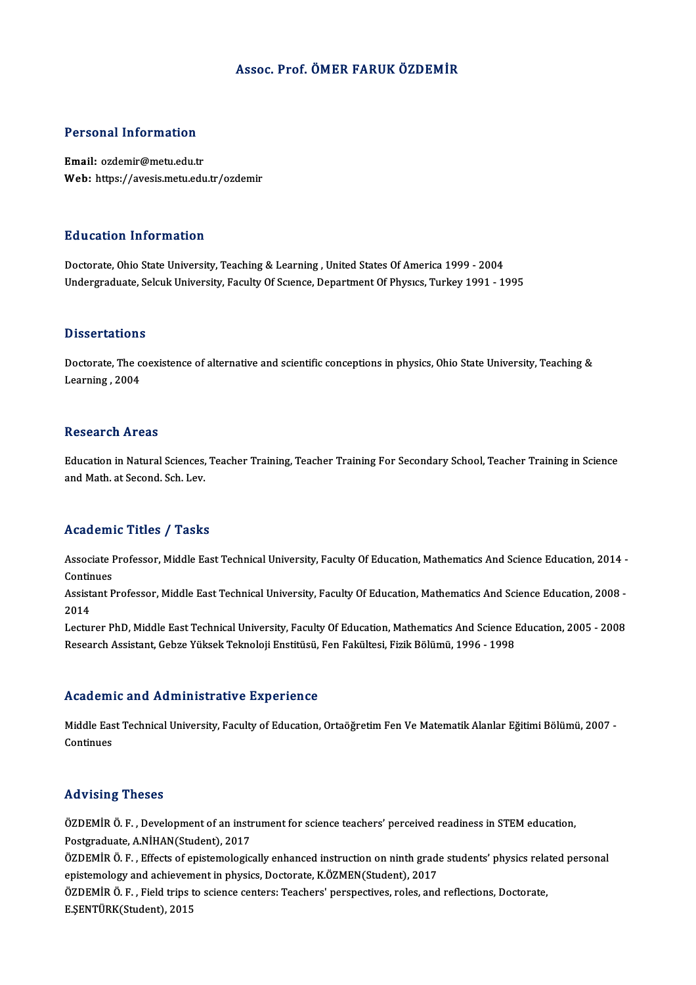### Assoc. Prof. ÖMER FARUK ÖZDEMİR

# Personal Information

Personal Information<br>Email: ozdemir@metu.edu.tr<br>Web: https://avesis.metu.edu Email: ozdemir@metu.edu.tr<br>Web: https://avesis.metu.edu.tr/ozdemir

### Education Information

Doctorate, Ohio State University, Teaching & Learning, United States Of America 1999 - 2004 Undergraduate, Selcuk University, Faculty Of Science, Department Of Physics, Turkey 1991 - 1995

### **Dissertations**

Dissertations<br>Doctorate, The coexistence of alternative and scientific conceptions in physics, Ohio State University, Teaching &<br>Learning, 2004 Disson tacrone<br>Doctorate, The c<br>Learning , 2004 Learning , 2004<br>Research Areas

Research Areas<br>Education in Natural Sciences, Teacher Training, Teacher Training For Secondary School, Teacher Training in Science<br>and Math at Second, Sch. Lev resear on 111 eas<br>Education in Natural Sciences,<br>and Math. at Second. Sch. Lev.

## and Math. at Second. Sch. Lev.<br>Academic Titles / Tasks

Academic Titles / Tasks<br>Associate Professor, Middle East Technical University, Faculty Of Education, Mathematics And Science Education, 2014 -<br>Continues Associate I<br>Continues<br>Assistant B Associate Professor, Middle East Technical University, Faculty Of Education, Mathematics And Science Education, 2014 -<br>Continues<br>Assistant Professor, Middle East Technical University, Faculty Of Education, Mathematics And

Contir<br>Assist<br>2014<br>Lectur Assistant Professor, Middle East Technical University, Faculty Of Education, Mathematics And Science Education, 2008 -<br>2014<br>Lecturer PhD, Middle East Technical University, Faculty Of Education, Mathematics And Science Educ

2014<br>Lecturer PhD, Middle East Technical University, Faculty Of Education, Mathematics And Science I<br>Research Assistant, Gebze Yüksek Teknoloji Enstitüsü, Fen Fakültesi, Fizik Bölümü, 1996 - 1998 Research Assistant, Gebze Yüksek Teknoloji Enstitüsü, Fen Fakültesi, Fizik Bölümü, 1996 - 1998<br>Academic and Administrative Experience

Academic and Administrative Experience<br>Middle East Technical University, Faculty of Education, Ortaöğretim Fen Ve Matematik Alanlar Eğitimi Bölümü, 2007 -Middle Eas<br>Continues

## Advising Theses

Advising Theses<br>ÖZDEMİR Ö. F. , Development of an instrument for science teachers' perceived readiness in STEM education,<br>Restanaduate, A NİHAN(Student), 2017 Provisoring<br>Postgraduate, A.NİHAN(Student), 2017<br>Postgraduate, A.NİHAN(Student), 2017 ÖZDEMİR Ö. F. , Development of an instrument for science teachers' perceived readiness in STEM education,<br>Postgraduate, A.NİHAN(Student), 2017<br>ÖZDEMİR Ö. F. , Effects of epistemologically enhanced instruction on ninth grad

Postgraduate, A.NİHAN(Student), 2017<br>ÖZDEMİR Ö. F. , Effects of epistemologically enhanced instruction on ninth grade<br>epistemology and achievement in physics, Doctorate, K.ÖZMEN(Student), 2017<br>ÖZDEMİR Ö. E., Field trips to ÖZDEMİR Ö. F. , Effects of epistemologically enhanced instruction on ninth grade students' physics rela<br>epistemology and achievement in physics, Doctorate, K.ÖZMEN(Student), 2017<br>ÖZDEMİR Ö. F. , Field trips to science cent

epistemology and achievement in physics, Doctorate, K.ÖZMEN(Student), 2017<br>ÖZDEMİR Ö. F. , Field trips to science centers: Teachers' perspectives, roles, and reflections, Doctorate,<br>E.ŞENTÜRK(Student), 2015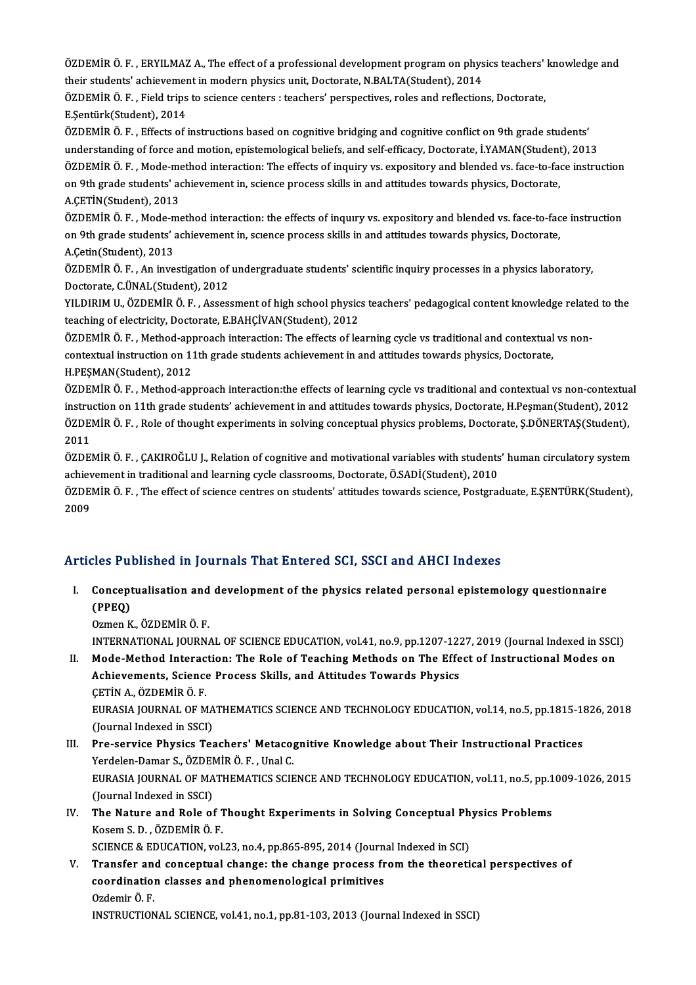ÖZDEMİR Ö. F. , ERYILMAZ A., The effect of a professional development program on physics teachers' knowledge and<br>their students' schievement in modern physics unit. Destenste N.PALTA(Student), 2014 ÖZDEMİR Ö. F. , ERYILMAZ A., The effect of a professional development program on phys<br>their students' achievement in modern physics unit, Doctorate, N.BALTA(Student), 2014<br>ÖZDEMİR Ö. E., Field trips te science centere utes ÖZDEMİR Ö. F. , ERYILMAZ A., The effect of a professional development program on physics teachers'<br>their students' achievement in modern physics unit, Doctorate, N.BALTA(Student), 2014<br>ÖZDEMİR Ö. F. , Field trips to scienc

their students' achievemer<br>ÖZDEMİR Ö. F. , Field trips<br>E.Şentürk(Student), 2014<br>ÖZDEMİR Ö. E. , Effecta of i

E.Şentürk(Student), 2014<br>ÖZDEMİR Ö. F. , Effects of instructions based on cognitive bridging and cognitive conflict on 9th grade students' understanding of force and motion, epistemological beliefs, and self-efficacy, Doctorate, İ.YAMAN(Student), 2013 ÖZDEMİR Ö. F. , Effects of instructions based on cognitive bridging and cognitive conflict on 9th grade students'<br>understanding of force and motion, epistemological beliefs, and self-efficacy, Doctorate, İ.YAMAN(Student), understanding of force and motion, epistemological beliefs, and self-efficacy, Doctorate, İ.YAMAN(Student<br>ÖZDEMİR Ö. F. , Mode-method interaction: The effects of inquiry vs. expository and blended vs. face-to-faq<br>on 9th gr ÖZDEMİR Ö. F. , Mode-me<br>on 9th grade students' ac<br>A.ÇETİN(Student), 2013<br>ÖZDEMİR Ö. E., Mode me on 9th grade students' achievement in, science process skills in and attitudes towards physics, Doctorate,<br>A.ÇETİN(Student), 2013<br>ÖZDEMİR Ö. F. , Mode-method interaction: the effects of inquiry vs. expository and blended v

A.ÇETİN(Student), 2013<br>ÖZDEMİR Ö. F. , Mode-method interaction: the effects of inqury vs. expository and blended vs. face-to-fac<br>on 9th grade students' achievement in, scıence process skills in and attitudes towards physic ÖZDEMİR Ö. F. , Mode-n<br>on 9th grade students' a<br>A.Çetin(Student), 2013<br>ÖZDEMİR Ö. F. - An inve on 9th grade students' achievement in, science process skills in and attitudes towards physics, Doctorate,<br>A.Çetin(Student), 2013<br>ÖZDEMİR Ö. F. , An investigation of undergraduate students' scientific inquiry processes in

A.Çetin(Student), 2013<br>ÖZDEMİR Ö. F. , An investigation of undergraduate students' scientific inquiry processes in a physics laboratory,<br>Doctorate, C.ÜNAL(Student), 2012 ÖZDEMİR Ö. F. , An investigation of undergraduate students' scientific inquiry processes in a physics laboratory,<br>Doctorate, C.ÜNAL(Student), 2012<br>YILDIRIM U., ÖZDEMİR Ö. F. , Assessment of high school physics teachers' pe

Doctorate, C.ÜNAL(Student), 2012<br>YILDIRIM U., ÖZDEMİR Ö. F. , Assessment of high school physic:<br>teaching of electricity, Doctorate, E.BAHÇİVAN(Student), 2012<br>ÖZDEMİR Ö. E., Method annyeash interaction: The effects of les YILDIRIM U., ÖZDEMİR Ö. F. , Assessment of high school physics teachers' pedagogical content knowledge relate<br>teaching of electricity, Doctorate, E.BAHÇİVAN(Student), 2012<br>ÖZDEMİR Ö. F. , Method-approach interaction: The e

teaching of electricity, Doctorate, E.BAHÇİVAN(Student), 2012<br>ÖZDEMİR Ö. F. , Method-approach interaction: The effects of learning cycle vs traditional and contextual<br>contextual instruction on 11th grade students achieveme ÖZDEMİR Ö. F. , Method-app<br>contextual instruction on 11<br>H.PEŞMAN(Student), 2012<br>ÖZDEMİR Ö. E. Method app contextual instruction on 11th grade students achievement in and attitudes towards physics, Doctorate,<br>H.PEŞMAN(Student), 2012<br>ÖZDEMİR Ö. F. , Method-approach interaction:the effects of learning cycle vs traditional and co

H.PEŞMAN(Student), 2012<br>ÖZDEMİR Ö. F. , Method-approach interaction:the effects of learning cycle vs traditional and contextual vs non-contextua<br>instruction on 11th grade students' achievement in and attitudes towards phys ÖZDEMİR Ö. F. , Method-approach interaction:the effects of learning cycle vs traditional and contextual vs non-contextua<br>instruction on 11th grade students' achievement in and attitudes towards physics, Doctorate, H.Peşman instruction on 11th grade students' achievement in and attitudes towards physics, Doctorate, H.Peşman(Student), 2012<br>ÖZDEMİR Ö. F. , Role of thought experiments in solving conceptual physics problems, Doctorate, Ş.DÖNERTAŞ ÖZDEMİR Ö. F. , Role of thought experiments in solving conceptual physics problems, Doctorate, Ş.DÖNERTAŞ(Student),<br>2011<br>ÖZDEMİR Ö. F. , ÇAKIROĞLU J., Relation of cognitive and motivational variables with students' human c

2011<br>ÖZDEMİR Ö. F. , ÇAKIROĞLU J., Relation of cognitive and motivational variables with students<br>achievement in traditional and learning cycle classrooms, Doctorate, Ö.SADİ(Student), 2010<br>ÖZDEMİR Ö. E., The effect of scie achievement in traditional and learning cycle classrooms, Doctorate, Ö.SADİ(Student), 2010

ÖZDEMİR Ö. F. , The effect of science centres on students' attitudes towards science, Postgraduate, E.ŞENTÜRK(Student),<br>2009

### Articles Published in Journals That Entered SCI, SSCI and AHCI Indexes

rticles Published in Journals That Entered SCI, SSCI and AHCI Indexes<br>I. Conceptualisation and development of the physics related personal epistemology questionnaire<br>CRRO) Concept<br>(PPEQ)<br>Orman <sup>V</sup> Conceptualisation and<br>(PPEQ)<br>Ozmen K., ÖZDEMİR Ö. F.<br>INTERNATIONAL JOUPN (PPEQ)<br>Ozmen K., ÖZDEMİR Ö. F.<br>INTERNATIONAL JOURNAL OF SCIENCE EDUCATION, vol.41, no.9, pp.1207-1227, 2019 (Journal Indexed in SSCI)<br>Mode Method Internation: The Bels of Teaching Methods on The Effect of Instructional Mod

Ozmen K., ÖZDEMİR Ö. F.<br>INTERNATIONAL JOURNAL OF SCIENCE EDUCATION, vol.41, no.9, pp.1207-1227, 2019 (Journal Indexed in SSCI<br>II. Mode-Method Interaction: The Role of Teaching Methods on The Effect of Instructional Modes o INTERNATIONAL JOURNAL OF SCIENCE EDUCATION, vol.41, no.9, pp.1207-122<br>Mode-Method Interaction: The Role of Teaching Methods on The Effe<br>Achievements, Science Process Skills, and Attitudes Towards Physics<br>CETIN A ÖZDEMIRÖ E Mode-Method Interac<br>Achievements, Science<br>ÇETİN A., ÖZDEMİR Ö. F.<br>FURASIA JOUPMAL OE M Achievements, Science Process Skills, and Attitudes Towards Physics<br>ÇETİN A., ÖZDEMİR Ö. F.<br>EURASIA JOURNAL OF MATHEMATICS SCIENCE AND TECHNOLOGY EDUCATION, vol.14, no.5, pp.1815-1826, 2018<br>(Journal Indoved in SSCL) CETIN A., ÖZDEMIR Ö. F.<br>EURASIA JOURNAL OF MA<br>(Journal Indexed in SSCI)<br>Pre-servise Physics Tes

- EURASIA JOURNAL OF MATHEMATICS SCIENCE AND TECHNOLOGY EDUCATION, vol.14, no.5, pp.1815-11<br>(Journal Indexed in SSCI)<br>III. Pre-service Physics Teachers' Metacognitive Knowledge about Their Instructional Practices<br>Vordelan Pa (Journal Indexed in SSCI)<br>III. Pre-service Physics Teachers' Metacognitive Knowledge about Their Instructional Practices EURASIA JOURNAL OF MATHEMATICS SCIENCE AND TECHNOLOGY EDUCATION, vol.11, no.5, pp.1009-1026, 2015<br>(Journal Indexed in SSCI) Yerdelen-Damar S., ÖZDEMİR Ö. F., Unal C. EURASIA JOURNAL OF MATHEMATICS SCIENCE AND TECHNOLOGY EDUCATION, vol.11, no.5, pp.1<br>(Journal Indexed in SSCI)<br>IV. The Nature and Role of Thought Experiments in Solving Conceptual Physics Problems<br>Kesem S. D. ÖZDEMİR Ö. E
- (Journal Indexed in SSCI)<br>The Nature and Role of 1<br>Kosem S. D. , ÖZDEMİR Ö. F.<br>SCIENCE & EDUCATION vol The Nature and Role of Thought Experiments in Solving Conceptual Ph<br>Kosem S. D. , ÖZDEMİR Ö. F.<br>SCIENCE & EDUCATION, vol.23, no.4, pp.865-895, 2014 (Journal Indexed in SCI)<br>Transfor and concentual shange: the shange proces

Kosem S. D. , ÖZDEMİR Ö. F.<br>SCIENCE & EDUCATION, vol.23, no.4, pp.865-895, 2014 (Journal Indexed in SCI)<br>V. Transfer and conceptual change: the change process from the theoretical perspectives of<br>coordination classes and p SCIENCE & EDUCATION, vol.23, no.4, pp.865-895, 2014 (Journal Indexed in SCI)<br>Transfer and conceptual change: the change process from the theoreti<br>coordination classes and phenomenological primitives<br>Ozdemir Ö. F. Transfer an<br>coordinatio<br>Ozdemir Ö. F.<br>INSTRUCTION INSTRUCTIONAL SCIENCE, vol.41, no.1, pp.81-103, 2013 (Journal Indexed in SSCI)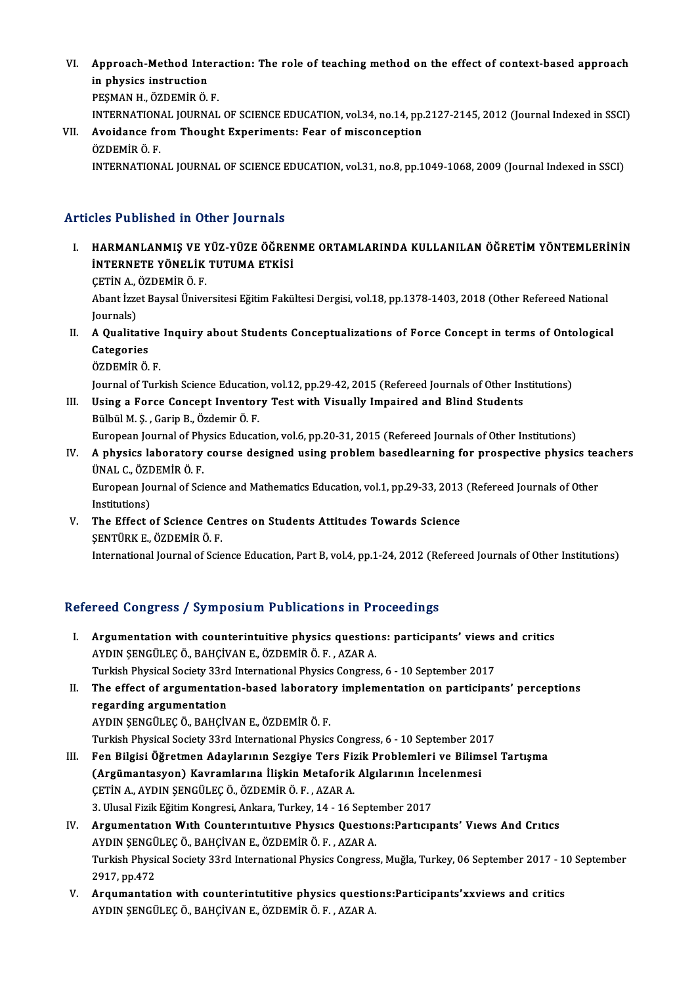- VI. Approach-Method Interaction: The role of teaching method on the effect of context-based approach<br>in physics instruction **Approach-Method Inte<br>in physics instruction<br>PESMAN H. ÖZDEMİP Ö** Approach-Method Inter:<br>in physics instruction<br>PEŞMAN H., ÖZDEMİR Ö. F.<br>INTERNATIONAL IOURNAL in physics instruction<br>PEŞMAN H., ÖZDEMİR Ö. F.<br>INTERNATIONAL JOURNAL OF SCIENCE EDUCATION, vol.34, no.14, pp.2127-2145, 2012 (Journal Indexed in SSCI)<br>Avoidance from Thought Eunerimenta: Eesn of misconsention
- PEŞMAN H., ÖZDEMİR Ö. F.<br>INTERNATIONAL JOURNAL OF SCIENCE EDUCATION, vol.34, no.14, pp<br>VII. Avoidance from Thought Experiments: Fear of misconception<br>ÖZDEMİR Ö. F. INTERNATION.<br>Avoidance fr<br>ÖZDEMİR Ö. F.<br>INTERNATION INTERNATIONAL JOURNAL OF SCIENCE EDUCATION, vol.31, no.8, pp.1049-1068, 2009 (Journal Indexed in SSCI)

### Articles Published in Other Journals

- Tticles Published in Other Journals<br>I. HARMANLANMIŞ VE YÜZ-YÜZE ÖĞRENME ORTAMLARINDA KULLANILAN ÖĞRETİM YÖNTEMLERİNİN<br>İNTERNETE YÖNELİK TUTUMA ETKİSİ HARMANLANMIŞ VE YÜZ-YÜZE ÖĞREN<br>HARMANLANMIŞ VE YÜZ-YÜZE ÖĞREN<br>İNTERNETE YÖNELİK TUTUMA ETKİSİ HARMANLANMIŞ VE Y<br>İNTERNETE YÖNELİK<br>ÇETİN A., ÖZDEMİR Ö. F.<br>Abant İzrat Baycal Üniya
	- CETIN A. ÖZDEMIR Ö F.

İNTERNETE YÖNELİK TUTUMA ETKİSİ<br>ÇETİN A., ÖZDEMİR Ö. F.<br>Abant İzzet Baysal Üniversitesi Eğitim Fakültesi Dergisi, vol.18, pp.1378-1403, 2018 (Other Refereed National<br>Journals) Abant İzzet Baysal Üniversitesi Eğitim Fakültesi Dergisi, vol.18, pp.1378-1403, 2018 (Other Refereed National<br>Journals)<br>II. A Qualitative Inquiry about Students Conceptualizations of Force Concept in terms of Ontologic

- Journals)<br>A Qualitativ<br>Categories<br>ÖZDEMİR Ö A Qualitative<br>Categories<br>ÖZDEMİR Ö. F.<br>Journal of Turl Categories<br>ÖZDEMİR Ö. F.<br>Journal of Turkish Science Education, vol.12, pp.29-42, 2015 (Refereed Journals of Other Institutions)<br>Heing a Force Concont Inventery Test with Visually Impaired and Plind Students
	-

ÖZDEMİR Ö. F.<br>Journal of Turkish Science Education, vol.12, pp.29-42, 2015 (Refereed Journals of Other In<br>III. Using a Force Concept Inventory Test with Visually Impaired and Blind Students<br>Bülbül M. S. , Garip B., Özdemir Journal of Turkish Science Educatio<br>Using a Force Concept Inventor<br>Bülbül M. Ş. , Garip B., Özdemir Ö. F.<br>Furonean Journal of Physics Educat European Journal of Physics Education, vol.6, pp.20-31, 2015 (Refereed Journals of Other Institutions) Bülbül M. Ş. , Garip B., Özdemir Ö. F.<br>European Journal of Physics Education, vol.6, pp.20-31, 2015 (Refereed Journals of Other Institutions)<br>IV. A physics laboratory course designed using problem basedlearning for pro

## European Journal of Phy<br>**A physics laboratory<br>ÜNAL C., ÖZDEMİR Ö. F.**<br>Furopean Journal of Sci A physics laboratory course designed using problem basedlearning for prospective physics teatival C., ÖZDEMİR Ö. F.<br>ÜNAL C., ÖZDEMİR Ö. F.<br>European Journal of Science and Mathematics Education, vol.1, pp.29-33, 2013 (Refer

ÜNAL C., ÖZE<br>European Jou<br>Institutions)<br>The Effect c European Journal of Science and Mathematics Education, vol.1, pp.29-33, 2013<br>Institutions)<br>V. The Effect of Science Centres on Students Attitudes Towards Science<br>SENTUDE E ÖZDEMIR Ö E

Institutions)<br>V. The Effect of Science Centres on Students Attitudes Towards Science<br>SENTÜRK E., ÖZDEMİR Ö. F. International Journal of Science Education, Part B, vol.4, pp.1-24, 2012 (Refereed Journals of Other Institutions)

### Refereed Congress / Symposium Publications in Proceedings

- efereed Congress / Symposium Publications in Proceedings<br>I. Argumentation with counterintuitive physics questions: participants' views and critics<br>AYDIN SENCILEC O. RAHCIVANE ÖZDEMIR Ö.E. AZAR A Argumentation with counterintuitive physics question<br>AYDIN ŞENGÜLEÇ Ö., BAHÇİVAN E., ÖZDEMİR Ö. F. , AZAR A.<br>Turkich Physical Society <sup>22</sup>xd International Physics Congress Argumentation with counterintuitive physics questions: participants' views<br>AYDIN ŞENGÜLEÇ Ö., BAHÇİVAN E., ÖZDEMİR Ö. F. , AZAR A.<br>Turkish Physical Society 33rd International Physics Congress, 6 - 10 September 2017<br>The eff AYDIN ŞENGÜLEÇ Ö., BAHÇİVAN E., ÖZDEMİR Ö. F. , AZAR A.<br>Turkish Physical Society 33rd International Physics Congress, 6 - 10 September 2017<br>II. The effect of argumentation-based laboratory implementation on participants' p
- **Turkish Physical Society 33rd<br>The effect of argumentation<br>regarding argumentation<br>AVDIN SENCÚLEC Ö. PAHCÍV** AYDINŞENGÜLEÇÖ.,BAHÇİVANE.,ÖZDEMİRÖ.F.
	- Turkish Physical Society 33rd International Physics Congress, 6 10 September 2017
- III. Fen Bilgisi Öğretmen Adaylarının Sezgiye Ters Fizik Problemleri ve Bilimsel Tartışma Turkish Physical Society 33rd International Physics Congress, 6 - 10 September 20<br>Fen Bilgisi Öğretmen Adaylarının Sezgiye Ters Fizik Problemleri ve Bilim<br>(Argümantasyon) Kavramlarına İlişkin Metaforik Algılarının İncelenm Fen Bilgisi Öğretmen Adaylarının Sezgiye Ters Fiz<br>(Argümantasyon) Kavramlarına İlişkin Metaforik<br>ÇETİN A., AYDIN ŞENGÜLEÇ Ö., ÖZDEMİR Ö. F. , AZAR A.<br>2. Ulucel Fizik Fğitim Kongresi, Ankara Turkey, 14, 16,6 (Argümantasyon) Kavramlarına İlişkin Metaforik Algılarının İnc<br>ÇETİN A., AYDIN ŞENGÜLEÇ Ö., ÖZDEMİR Ö. F. , AZAR A.<br>3. Ulusal Fizik Eğitim Kongresi, Ankara, Turkey, 14 - 16 September 2017<br>Argumantatıon With Countanuntuitus CETİN A., AYDIN ŞENGÜLEÇ Ö., ÖZDEMİR Ö. F. , AZAR A.<br>3. Ulusal Fizik Eğitim Kongresi, Ankara, Turkey, 14 - 16 September 2017<br>IV. Argumentatıon Wıth Counterintuitive Physics Questions:Participants' Views And Critics
- 3. Ulusal Fizik Eğitim Kongresi, Ankara, Turkey, 14 16 Septe<br>Argumentatıon With Counterintuitive Physics Questio<br>AYDIN ŞENGÜLEÇ Ö., BAHÇİVAN E., ÖZDEMİR Ö. F. , AZAR A.<br>Turkish Physical Society 22rd International Physics Turkish Physical Society 33rd International Physics Congress, Muğla, Turkey, 06 September 2017 - 10 September 2917, pp.472 AYDIN ŞENGÜLEÇ Ö., BAHÇİVAN E., ÖZDEMİR Ö. F., AZAR A. Turkish Physical Society 33rd International Physics Congress, Muğla, Turkey, 06 September 2017 - 1<br>2917, pp.472<br>V. Arqumantation with counterintutitive physics questions:Participants'xxviews and critics<br>AVDIN SENCÍU EC Ö,
- 2917, pp.472<br><mark>Arqumantation with counterintutitive physics questi</mark>d<br>AYDIN ŞENGÜLEÇ Ö., BAHÇİVAN E., ÖZDEMİR Ö. F. , AZAR A.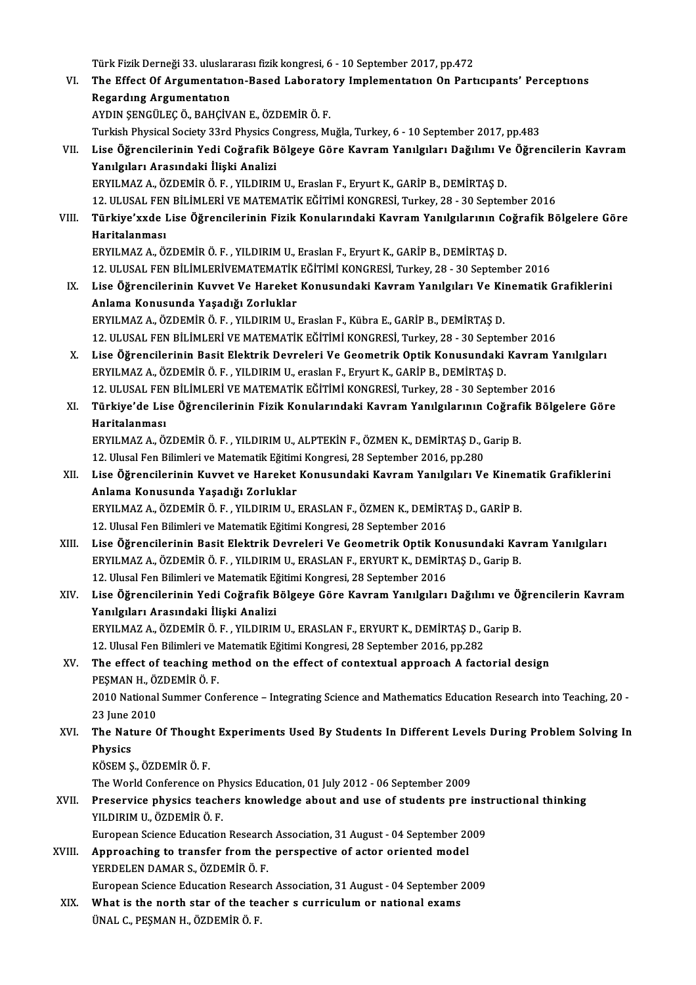Türk Fizik Derneği 33. uluslararası fizik kongresi, 6 - 10 September 2017, pp.472<br>The Effect Of Angumentation, Bosed J sharatany Implementation On Bant VI. The Effect Of Argumentatıon-Based Laboratory Implementatıon On Partıcıpants' Perceptıons Türk Fizik Derneği 33. uluslar<br>The Effect Of Argumentatıon<br>Regardıng Argumentatıon<br>AYDIN SENCÜLEC Ö. BAHÇİV AYDINŞENGÜLEÇÖ.,BAHÇİVANE.,ÖZDEMİRÖ.F. Turkish Physical Society 33rd Physics Congress, Muğla, Turkey, 6 - 10 September 2017, pp.483 VII. Lise Öğrencilerinin Yedi Coğrafik Bölgeye Göre Kavram Yanılgıları Dağılımı Ve Öğrencilerin Kavram Yanılgıları Arasındaki İlişki Analizi ERYILMAZA.,ÖZDEMİRÖ.F. ,YILDIRIMU.,EraslanF.,EryurtK.,GARİPB.,DEMİRTAŞD. 12.ULUSAL FENBİLİMLERİVEMATEMATİKEĞİTİMİKONGRESİ,Turkey,28 -30 September 2016 ERYILMAZ A., ÖZDEMİR Ö. F. , YILDIRIM U., Eraslan F., Eryurt K., GARİP B., DEMİRTAŞ D.<br>12. ULUSAL FEN BİLİMLERİ VE MATEMATİK EĞİTİMİ KONGRESİ, Turkey, 28 - 30 September 2016<br>VIII. Türkiye'xxde Lise Öğrencilerinin Fizik 12. ULUSAL FEN<br><mark>Türkiye'xxde l</mark><br>Haritalanması<br>EPVU MAZ A. Ö' Türkiye'xxde Lise Öğrencilerinin Fizik Konularındaki Kavram Yanılgılarının Co<br>Haritalanması<br>ERYILMAZ A., ÖZDEMİR Ö. F. , YILDIRIM U., Eraslan F., Eryurt K., GARİP B., DEMİRTAŞ D.<br>12 ULUSAL EEN PİLİMI ERİVEMATEMATİV FÖİTİMİ Haritalanması<br>ERYILMAZ A., ÖZDEMİR Ö. F. , YILDIRIM U., Eraslan F., Eryurt K., GARİP B., DEMİRTAŞ D.<br>12. ULUSAL FEN BİLİMLERİVEMATEMATİK EĞİTİMİ KONGRESİ, Turkey, 28 - 30 September 2016 ERYILMAZ A., ÖZDEMİR Ö. F. , YILDIRIM U., Eraslan F., Eryurt K., GARİP B., DEMİRTAŞ D.<br>12. ULUSAL FEN BİLİMLERİVEMATEMATİK EĞİTİMİ KONGRESİ, Turkey, 28 - 30 September 2016<br>13. Lise Öğrencilerinin Kuvvet Ve Hareket Konusund 12. ULUSAL FEN BİLİMLERİVEMATEMATİK<br>Lise Öğrencilerinin Kuvvet Ve Hareket<br>Anlama Konusunda Yaşadığı Zorluklar<br>EPVILMAZA ÖZDEMİRÖ EL YU DIRIM ILI Lise Öğrencilerinin Kuvvet Ve Hareket Konusundaki Kavram Yanılgıları Ve Ki:<br>Anlama Konusunda Yaşadığı Zorluklar<br>ERYILMAZ A., ÖZDEMİR Ö. F. , YILDIRIM U., Eraslan F., Kübra E., GARİP B., DEMİRTAŞ D.<br>12. ULUSAL EEN BİLİMLERL Anlama Konusunda Yaşadığı Zorluklar<br>ERYILMAZ A., ÖZDEMİR Ö. F. , YILDIRIM U., Eraslan F., Kübra E., GARİP B., DEMİRTAŞ D.<br>12. ULUSAL FEN BİLİMLERİ VE MATEMATİK EĞİTİMİ KONGRESİ, Turkey, 28 - 30 September 2016<br>Lise Öğrensil ERYILMAZ A., ÖZDEMİR Ö. F. , YILDIRIM U., Eraslan F., Kübra E., GARİP B., DEMİRTAŞ D.<br>12. ULUSAL FEN BİLİMLERİ VE MATEMATİK EĞİTİMİ KONGRESİ, Turkey, 28 - 30 September 2016<br>X. Lise Öğrencilerinin Basit Elektrik Devrele 12. ULUSAL FEN BİLİMLERİ VE MATEMATİK EĞİTİMİ KONGRESİ, Turkey, 28 - 30 Septen<br>Lise Öğrencilerinin Basit Elektrik Devreleri Ve Geometrik Optik Konusundaki<br>ERYILMAZ A., ÖZDEMİR Ö. F. , YILDIRIM U., eraslan F., Eryurt K., GA Lise Öğrencilerinin Basit Elektrik Devreleri Ve Geometrik Optik Konusundaki Kavram Y<br>ERYILMAZ A., ÖZDEMİR Ö. F. , YILDIRIM U., eraslan F., Eryurt K., GARİP B., DEMİRTAŞ D.<br>12. ULUSAL FEN BİLİMLERİ VE MATEMATİK EĞİTİMİ KONG XI. Türkiye'de Lise Öğrencilerinin Fizik Konularındaki KavramYanılgılarının Coğrafik Bölgelere Göre 12. ULUSAL FEN<br><mark>Türkiye'de Lis</mark><br>Haritalanması<br>EPVU MAZ A. Ö' Türkiye'de Lise Öğrencilerinin Fizik Konularındaki Kavram Yanılgılarının Coğraf<br>Haritalanması<br>ERYILMAZ A., ÖZDEMİR Ö. F. , YILDIRIM U., ALPTEKİN F., ÖZMEN K., DEMİRTAŞ D., Garip B.<br>12 Hlucal Ean Bilimleri ve Matamatik Eğit Haritalanması<br>ERYILMAZ A., ÖZDEMİR Ö. F. , YILDIRIM U., ALPTEKİN F., ÖZMEN K., DEMİRTAŞ D., (<br>12. Ulusal Fen Bilimleri ve Matematik Eğitimi Kongresi, 28 September 2016, pp.280<br>Lise Öğrensilerinin Kuyyet ve Hareket Konusund ERYILMAZ A., ÖZDEMİR Ö. F. , YILDIRIM U., ALPTEKİN F., ÖZMEN K., DEMİRTAŞ D., Garip B.<br>12. Ulusal Fen Bilimleri ve Matematik Eğitimi Kongresi, 28 September 2016, pp.280<br>XII. Lise Öğrencilerinin Kuvvet ve Hareket Konusu 12. Ulusal Fen Bilimleri ve Matematik Eğitimi Kongresi, 28 September 2016, pp.280<br>Lise Öğrencilerinin Kuvvet ve Hareket Konusundaki Kavram Yanılgıları Vo<br>Anlama Konusunda Yaşadığı Zorluklar Lise Öğrencilerinin Kuvvet ve Hareket Konusundaki Kavram Yanılgıları Ve Kinem<br>Anlama Konusunda Yaşadığı Zorluklar<br>ERYILMAZ A., ÖZDEMİR Ö. F. , YILDIRIM U., ERASLAN F., ÖZMEN K., DEMİRTAŞ D., GARİP B.<br>12. Ulucal Ean Bilimle ERYILMAZ A., ÖZDEMİR Ö. F. , YILDIRIM U., ERASLAN F., ÖZMEN K., DEMİRTAŞ D., GARİP B.<br>12. Ulusal Fen Bilimleri ve Matematik Eğitimi Kongresi, 28 September 2016 ERYILMAZ A., ÖZDEMİR Ö. F. , YILDIRIM U., ERASLAN F., ÖZMEN K., DEMİRTAŞ D., GARİP B.<br>12. Ulusal Fen Bilimleri ve Matematik Eğitimi Kongresi, 28 September 2016<br>XIII. Lise Öğrencilerinin Basit Elektrik Devreleri Ve Geom 12. Ulusal Fen Bilimleri ve Matematik Eğitimi Kongresi, 28 September 2016<br>Lise Öğrencilerinin Basit Elektrik Devreleri Ve Geometrik Optik Konusundaki Ka<br>ERYILMAZ A., ÖZDEMİR Ö. F. , YILDIRIM U., ERASLAN F., ERYURT K., DEMİ Lise Öğrencilerinin Basit Elektrik Devreleri Ve Geometrik Optik Ko<br>ERYILMAZ A., ÖZDEMİR Ö. F. , YILDIRIM U., ERASLAN F., ERYURT K., DEMİR<br>12. Ulusal Fen Bilimleri ve Matematik Eğitimi Kongresi, 28 September 2016<br>Lise Öğren ERYILMAZ A., ÖZDEMİR Ö. F. , YILDIRIM U., ERASLAN F., ERYURT K., DEMİRTAŞ D., Garip B.<br>12. Ulusal Fen Bilimleri ve Matematik Eğitimi Kongresi, 28 September 2016<br>XIV. Lise Öğrencilerinin Yedi Coğrafik Bölgeye Göre Kavra 12. Ulusal Fen Bilimleri ve Matematik Eğ<br>Lise Öğrencilerinin Yedi Coğrafik B<br>Yanılgıları Arasındaki İlişki Analizi<br>EPVILMAZ A. ÖZDEMİP Ö.E., YU DIPIN Lise Öğrencilerinin Yedi Coğrafik Bölgeye Göre Kavram Yanılgıları Dağılımı ve Ö<sub>.</sub><br>Yanılgıları Arasındaki İlişki Analizi<br>ERYILMAZ A., ÖZDEMİR Ö. F. , YILDIRIM U., ERASLAN F., ERYURT K., DEMİRTAŞ D., Garip B.<br>12 Hlusel Een Yanılgıları Arasındaki İlişki Analizi<br>ERYILMAZ A., ÖZDEMİR Ö. F. , YILDIRIM U., ERASLAN F., ERYURT K., DEMİRTAŞ D., (<br>12. Ulusal Fen Bilimleri ve Matematik Eğitimi Kongresi, 28 September 2016, pp.282<br>The effect of teoching ERYILMAZ A., ÖZDEMİR Ö. F. , YILDIRIM U., ERASLAN F., ERYURT K., DEMİRTAŞ D., Garip B.<br>12. Ulusal Fen Bilimleri ve Matematik Eğitimi Kongresi, 28 September 2016, pp.282<br>XV. The effect of teaching method on the effect of co 12. Ulusal Fen Bilimleri ve I<br>The effect of teaching m<br>PEŞMAN H., ÖZDEMİR Ö. F.<br>2010 National Summer Cer The effect of teaching method on the effect of contextual approach A factorial design<br>PEŞMAN H., ÖZDEMİR Ö. F.<br>2010 National Summer Conference – Integrating Science and Mathematics Education Research into Teaching, 20 -<br>22 PEŞMAN H., Ö2<br>2010 National<br>23 June 2010<br>The Nature C 2010 National Summer Conference – Integrating Science and Mathematics Education Research into Teaching, 20 -<br>23 June 2010<br>XVI. The Nature Of Thought Experiments Used By Students In Different Levels During Problem Solving I 23 June 2<br><mark>The Nat</mark><br>Physics<br>*v*öseм s The Nature Of Though<br>Physics<br>KÖSEM Ş., ÖZDEMİR Ö. F.<br>The World Conference of Physics<br>KÖSEM Ş., ÖZDEMİR Ö. F.<br>The World Conference on Physics Education, 01 July 2012 - 06 September 2009<br>Preservise physics teachers knowledge about and use of students pre i KÖSEM Ș., ÖZDEMİR Ö. F.<br>The World Conference on Physics Education, 01 July 2012 - 06 September 2009<br>XVII. Preservice physics teachers knowledge about and use of students pre instructional thinking<br>YU DIRIM II. ÖZDEMİR Ö. E The World Conference on P.<br>Preservice physics teach<br>YILDIRIM U., ÖZDEMİR Ö. F.<br>Furansan Ssiansa Education Preservice physics teachers knowledge about and use of students pre inst<br>YILDIRIM U., ÖZDEMİR Ö. F.<br>European Science Education Research Association, 31 August - 04 September 2009<br>Annreaching to transfor from the perspectiv YILDIRIM U., ÖZDEMİR Ö. F.<br>European Science Education Research Association, 31 August - 04 September 20<br>XVIII. Approaching to transfer from the perspective of actor oriented model<br>VERDELEN DAMAR S. ÖZDEMİR Ö. E European Science Education Research Association, 31 August - 04 September 2009<br>Approaching to transfer from the perspective of actor oriented model<br>YERDELEN DAMAR S., ÖZDEMİR Ö. F.<br>European Science Education Research Assoc Approaching to transfer from the perspective of actor oriented model<br>YERDELEN DAMAR S., ÖZDEMİR Ö. F.<br>European Science Education Research Association, 31 August - 04 September 2009<br>What is the north star of the teacher s s YERDELEN DAMAR S., ÖZDEMIR Ö. F.<br>European Science Education Research Association, 31 August - 04 September 2<br>XIX. What is the north star of the teacher s curriculum or national exams<br>TINAL C. RESMAN H. ÖZDEMIR Ö. E European Science Education Resear<br>What is the north star of the te:<br>ÜNAL C., PEŞMAN H., ÖZDEMİR Ö. F.